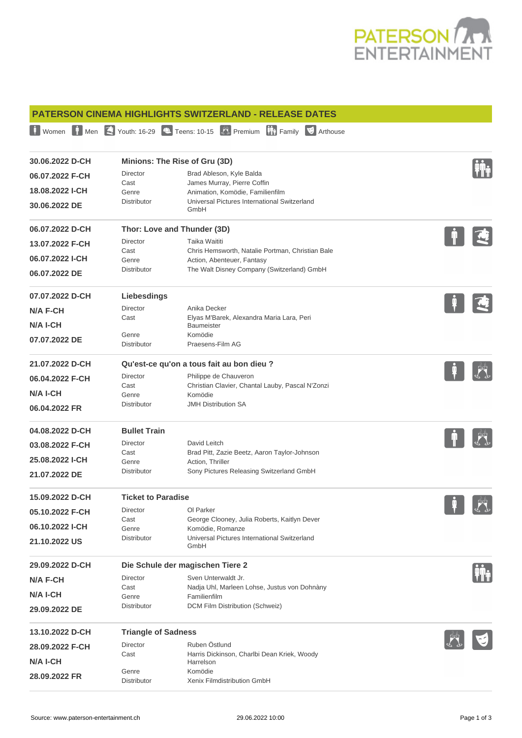

|                 |                                               |                               | <b>PATERSON CINEMA HIGHLIGHTS SWITZERLAND - RELEASE DATES</b>                                                                                                                                                                                                                                                                          |             |  |  |
|-----------------|-----------------------------------------------|-------------------------------|----------------------------------------------------------------------------------------------------------------------------------------------------------------------------------------------------------------------------------------------------------------------------------------------------------------------------------------|-------------|--|--|
|                 |                                               |                               | <b>T</b> Women $\begin{bmatrix} \mathbf{r} \end{bmatrix}$ Men $\begin{bmatrix} \mathbf{r} \end{bmatrix}$ Youth: 16-29 $\begin{bmatrix} \mathbf{r} \end{bmatrix}$ Teens: 10-15 $\begin{bmatrix} \mathbf{r} \end{bmatrix}$ Premium $\begin{bmatrix} \mathbf{r} \end{bmatrix}$ Family $\begin{bmatrix} \mathbf{r} \end{bmatrix}$ Arthouse |             |  |  |
| 30.06.2022 D-CH |                                               | Minions: The Rise of Gru (3D) |                                                                                                                                                                                                                                                                                                                                        |             |  |  |
| 06.07.2022 F-CH |                                               | Director                      | Brad Ableson, Kyle Balda                                                                                                                                                                                                                                                                                                               | ŸŤŧ         |  |  |
| 18.08.2022 I-CH |                                               | Cast<br>Genre                 | James Murray, Pierre Coffin<br>Animation, Komödie, Familienfilm                                                                                                                                                                                                                                                                        |             |  |  |
| 30.06.2022 DE   |                                               | Distributor                   | Universal Pictures International Switzerland<br>GmbH                                                                                                                                                                                                                                                                                   |             |  |  |
| 06.07.2022 D-CH |                                               |                               | Thor: Love and Thunder (3D)                                                                                                                                                                                                                                                                                                            |             |  |  |
| 13.07.2022 F-CH |                                               | Director                      | Taika Waititi                                                                                                                                                                                                                                                                                                                          |             |  |  |
| 06.07.2022 I-CH |                                               | Cast<br>Genre                 | Chris Hemsworth, Natalie Portman, Christian Bale<br>Action, Abenteuer, Fantasy                                                                                                                                                                                                                                                         |             |  |  |
| 06.07.2022 DE   |                                               | <b>Distributor</b>            | The Walt Disney Company (Switzerland) GmbH                                                                                                                                                                                                                                                                                             |             |  |  |
| 07.07.2022 D-CH |                                               | Liebesdings                   |                                                                                                                                                                                                                                                                                                                                        |             |  |  |
| <b>N/A F-CH</b> |                                               | Director                      | Anika Decker                                                                                                                                                                                                                                                                                                                           |             |  |  |
| <b>N/A I-CH</b> |                                               | Cast                          | Elyas M'Barek, Alexandra Maria Lara, Peri<br><b>Baumeister</b>                                                                                                                                                                                                                                                                         |             |  |  |
| 07.07.2022 DE   |                                               | Genre<br><b>Distributor</b>   | Komödie<br>Praesens-Film AG                                                                                                                                                                                                                                                                                                            |             |  |  |
| 21.07.2022 D-CH |                                               |                               | Qu'est-ce qu'on a tous fait au bon dieu ?                                                                                                                                                                                                                                                                                              |             |  |  |
| 06.04.2022 F-CH |                                               | Director                      | Philippe de Chauveron                                                                                                                                                                                                                                                                                                                  |             |  |  |
| N/A I-CH        |                                               | Cast<br>Genre                 | Christian Clavier, Chantal Lauby, Pascal N'Zonzi<br>Komödie                                                                                                                                                                                                                                                                            |             |  |  |
| 06.04.2022 FR   |                                               | <b>Distributor</b>            | <b>JMH Distribution SA</b>                                                                                                                                                                                                                                                                                                             |             |  |  |
| 04.08.2022 D-CH |                                               | <b>Bullet Train</b>           |                                                                                                                                                                                                                                                                                                                                        |             |  |  |
| 03.08.2022 F-CH |                                               | Director                      | David Leitch                                                                                                                                                                                                                                                                                                                           |             |  |  |
| 25.08.2022 I-CH |                                               | Cast<br>Genre                 | Brad Pitt, Zazie Beetz, Aaron Taylor-Johnson<br>Action, Thriller                                                                                                                                                                                                                                                                       |             |  |  |
| 21.07.2022 DE   |                                               | <b>Distributor</b>            | Sony Pictures Releasing Switzerland GmbH                                                                                                                                                                                                                                                                                               |             |  |  |
| 15.09.2022 D-CH |                                               | <b>Ticket to Paradise</b>     |                                                                                                                                                                                                                                                                                                                                        |             |  |  |
| 05.10.2022 F-CH |                                               | Director<br>Cast              | OI Parker<br>George Clooney, Julia Roberts, Kaitlyn Dever                                                                                                                                                                                                                                                                              |             |  |  |
| 06.10.2022 I-CH |                                               | Genre                         | Komödie, Romanze                                                                                                                                                                                                                                                                                                                       |             |  |  |
| 21.10.2022 US   |                                               | Distributor                   | Universal Pictures International Switzerland<br>GmbH                                                                                                                                                                                                                                                                                   |             |  |  |
| 29.09.2022 D-CH |                                               |                               | Die Schule der magischen Tiere 2                                                                                                                                                                                                                                                                                                       |             |  |  |
| N/A F-CH        |                                               | Director                      | Sven Unterwaldt Jr.                                                                                                                                                                                                                                                                                                                    | <b>.il.</b> |  |  |
| N/A I-CH        |                                               | Cast<br>Genre                 | Nadja Uhl, Marleen Lohse, Justus von Dohnàny<br>Familienfilm                                                                                                                                                                                                                                                                           |             |  |  |
| 29.09.2022 DE   |                                               | Distributor                   | <b>DCM Film Distribution (Schweiz)</b>                                                                                                                                                                                                                                                                                                 |             |  |  |
|                 | 13.10.2022 D-CH<br><b>Triangle of Sadness</b> |                               |                                                                                                                                                                                                                                                                                                                                        |             |  |  |
| 28.09.2022 F-CH |                                               | Director                      | Ruben Östlund                                                                                                                                                                                                                                                                                                                          |             |  |  |
| <b>N/A I-CH</b> |                                               | Cast                          | Harris Dickinson, Charlbi Dean Kriek, Woody<br>Harrelson                                                                                                                                                                                                                                                                               |             |  |  |
| 28.09.2022 FR   |                                               | Genre                         | Komödie                                                                                                                                                                                                                                                                                                                                |             |  |  |
|                 |                                               | Distributor                   | Xenix Filmdistribution GmbH                                                                                                                                                                                                                                                                                                            |             |  |  |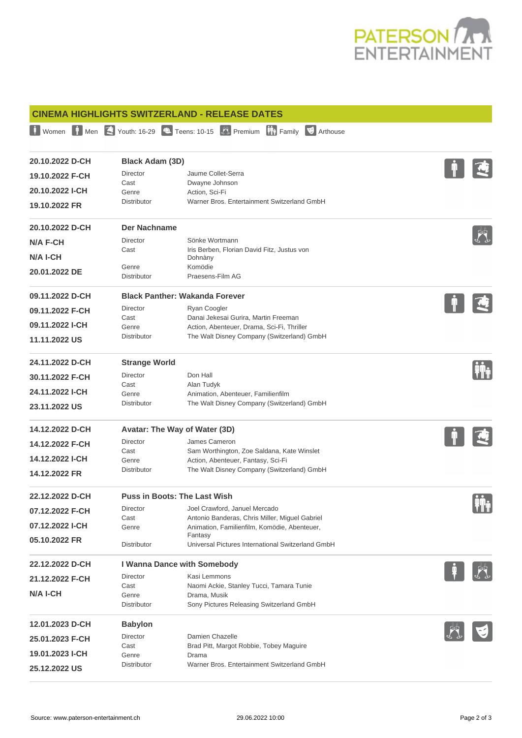

|                 |                                       | <b>CINEMA HIGHLIGHTS SWITZERLAND - RELEASE DATES</b>                                           |              |  |
|-----------------|---------------------------------------|------------------------------------------------------------------------------------------------|--------------|--|
|                 |                                       |                                                                                                |              |  |
| 20.10.2022 D-CH | <b>Black Adam (3D)</b>                |                                                                                                |              |  |
| 19.10.2022 F-CH | Director                              | Jaume Collet-Serra                                                                             | $\mathbf{C}$ |  |
| 20.10.2022 I-CH | Cast<br>Genre                         | Dwayne Johnson<br>Action, Sci-Fi                                                               |              |  |
| 19.10.2022 FR   | Distributor                           | Warner Bros. Entertainment Switzerland GmbH                                                    |              |  |
| 20.10.2022 D-CH | Der Nachname                          |                                                                                                |              |  |
| N/A F-CH        | Director                              | Sönke Wortmann                                                                                 |              |  |
| N/A I-CH        | Cast                                  | Iris Berben, Florian David Fitz, Justus von<br>Dohnàny                                         |              |  |
|                 | Genre                                 | Komödie                                                                                        |              |  |
| 20.01.2022 DE   | <b>Distributor</b>                    | Praesens-Film AG                                                                               |              |  |
| 09.11.2022 D-CH | <b>Black Panther: Wakanda Forever</b> |                                                                                                |              |  |
| 09.11.2022 F-CH | Director                              | Ryan Coogler                                                                                   |              |  |
| 09.11.2022 I-CH | Cast<br>Genre                         | Danai Jekesai Gurira, Martin Freeman<br>Action, Abenteuer, Drama, Sci-Fi, Thriller             |              |  |
| 11.11.2022 US   | Distributor                           | The Walt Disney Company (Switzerland) GmbH                                                     |              |  |
| 24.11.2022 D-CH |                                       | <b>Strange World</b>                                                                           |              |  |
| 30.11.2022 F-CH | Director                              | Don Hall                                                                                       | .<br>Tir     |  |
| 24.11.2022 I-CH | Cast                                  | Alan Tudyk                                                                                     |              |  |
|                 | Genre<br>Distributor                  | Animation, Abenteuer, Familienfilm<br>The Walt Disney Company (Switzerland) GmbH               |              |  |
| 23.11.2022 US   |                                       |                                                                                                |              |  |
| 14.12.2022 D-CH |                                       | Avatar: The Way of Water (3D)                                                                  |              |  |
| 14.12.2022 F-CH | Director                              | James Cameron                                                                                  |              |  |
| 14.12.2022 I-CH | Cast<br>Genre                         | Sam Worthington, Zoe Saldana, Kate Winslet<br>Action, Abenteuer, Fantasy, Sci-Fi               |              |  |
| 14.12.2022 FR   | <b>Distributor</b>                    | The Walt Disney Company (Switzerland) GmbH                                                     |              |  |
| 22.12.2022 D-CH |                                       | <b>Puss in Boots: The Last Wish</b>                                                            |              |  |
| 07.12.2022 F-CH | Director                              | Joel Crawford, Januel Mercado                                                                  | <b>Times</b> |  |
| 07.12.2022 I-CH | Cast<br>Genre                         | Antonio Banderas, Chris Miller, Miguel Gabriel<br>Animation, Familienfilm, Komödie, Abenteuer, |              |  |
|                 |                                       | Fantasy                                                                                        |              |  |
| 05.10.2022 FR   | <b>Distributor</b>                    | Universal Pictures International Switzerland GmbH                                              |              |  |
| 22.12.2022 D-CH |                                       | I Wanna Dance with Somebody                                                                    |              |  |
| 21.12.2022 F-CH | <b>Director</b>                       | Kasi Lemmons                                                                                   |              |  |
| <b>N/A I-CH</b> | Cast<br>Genre                         | Naomi Ackie, Stanley Tucci, Tamara Tunie<br>Drama, Musik                                       |              |  |
|                 | <b>Distributor</b>                    | Sony Pictures Releasing Switzerland GmbH                                                       |              |  |
| 12.01.2023 D-CH | <b>Babylon</b>                        |                                                                                                |              |  |
| 25.01.2023 F-CH | Director                              | Damien Chazelle                                                                                |              |  |
| 19.01.2023 I-CH | Cast<br>Genre                         | Brad Pitt, Margot Robbie, Tobey Maguire<br>Drama                                               |              |  |
| 25.12.2022 US   | <b>Distributor</b>                    | Warner Bros. Entertainment Switzerland GmbH                                                    |              |  |
|                 |                                       |                                                                                                |              |  |